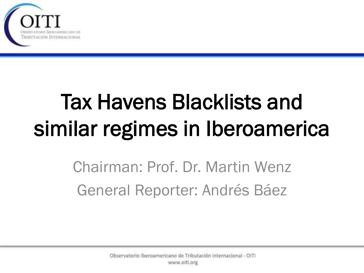

# Tax Havens Blacklists and similar regimes in Iberoamerica

Chairman: Prof. Dr. Martin Wenz General Reporter: Andrés Báez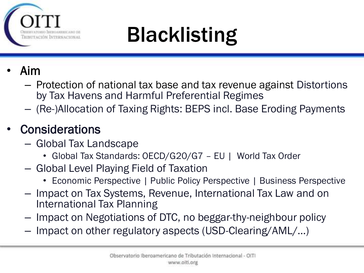

### Blacklisting

- Aim
	- Protection of national tax base and tax revenue against Distortions by Tax Havens and Harmful Preferential Regimes
	- (Re-)Allocation of Taxing Rights: BEPS incl. Base Eroding Payments

#### **Considerations**

- Global Tax Landscape
	- Global Tax Standards: OECD/G20/G7 EU | World Tax Order
- Global Level Playing Field of Taxation
	- Economic Perspective | Public Policy Perspective | Business Perspective
- Impact on Tax Systems, Revenue, International Tax Law and on International Tax Planning
- Impact on Negotiations of DTC, no beggar-thy-neighbour policy
- Impact on other regulatory aspects (USD-Clearing/AML/…)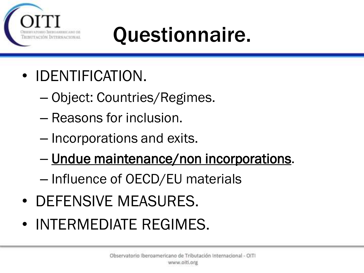

#### Questionnaire.

- IDENTIFICATION.
	- Object: Countries/Regimes.
	- Reasons for inclusion.
	- Incorporations and exits.
	- Undue maintenance/non incorporations.
	- Influence of OECD/EU materials
- DEFENSIVE MEASURES.
- INTERMEDIATE REGIMES.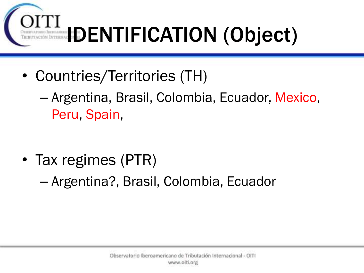

- Countries/Territories (TH)
	- Argentina, Brasil, Colombia, Ecuador, Mexico, Peru, Spain,

• Tax regimes (PTR)

– Argentina?, Brasil, Colombia, Ecuador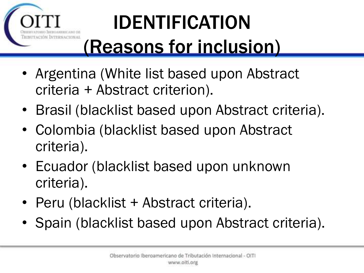

#### IDENTIFICATION (Reasons for inclusion)

- Argentina (White list based upon Abstract criteria + Abstract criterion).
- Brasil (blacklist based upon Abstract criteria).
- Colombia (blacklist based upon Abstract criteria).
- Ecuador (blacklist based upon unknown criteria).
- Peru (blacklist + Abstract criteria).
- Spain (blacklist based upon Abstract criteria).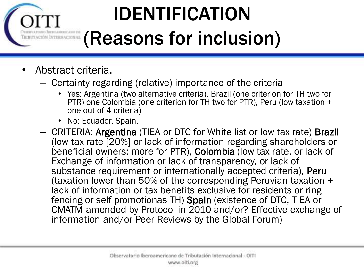# IDENTIFICATION

#### (Reasons for inclusion)

• Abstract criteria.

NAL

- Certainty regarding (relative) importance of the criteria
	- Yes: Argentina (two alternative criteria), Brazil (one criterion for TH two for PTR) one Colombia (one criterion for TH two for PTR), Peru (low taxation + one out of 4 criteria)
	- No: Ecuador, Spain.
- CRITERIA: Argentina (TIEA or DTC for White list or low tax rate) Brazil (low tax rate [20%] or lack of information regarding shareholders or beneficial owners; more for PTR), Colombia (low tax rate, or lack of Exchange of information or lack of transparency, or lack of substance requirement or internationally accepted criteria), Peru (taxation lower than 50% of the corresponding Peruvian taxation + lack of information or tax benefits exclusive for residents or ring fencing or self promotionas TH) Spain (existence of DTC, TIEA or CMATM amended by Protocol in 2010 and/or? Effective exchange of information and/or Peer Reviews by the Global Forum)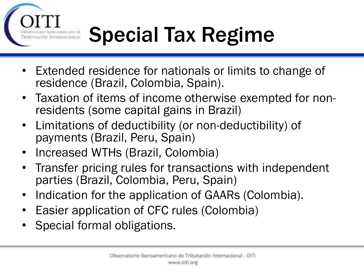## Special Tax Regime

- Extended residence for nationals or limits to change of residence (Brazil, Colombia, Spain).
- Taxation of items of income otherwise exempted for nonresidents (some capital gains in Brazil)
- Limitations of deductibility (or non-deductibility) of payments (Brazil, Peru, Spain)
- Increased WTHs (Brazil, Colombia)
- Transfer pricing rules for transactions with independent parties (Brazil, Colombia, Peru, Spain)
- Indication for the application of GAARs (Colombia).
- Easier application of CFC rules (Colombia)
- Special formal obligations.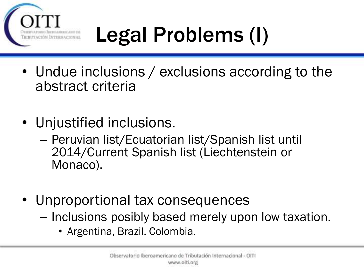

# Legal Problems (I)

- Undue inclusions / exclusions according to the abstract criteria
- Unjustified inclusions.
	- Peruvian list/Ecuatorian list/Spanish list until 2014/Current Spanish list (Liechtenstein or Monaco).
- Unproportional tax consequences
	- Inclusions posibly based merely upon low taxation.
		- Argentina, Brazil, Colombia.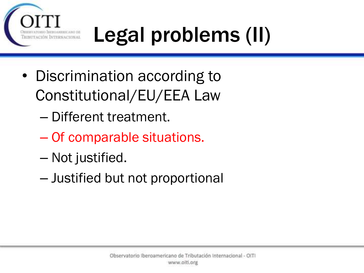

# Legal problems (II)

- Discrimination according to Constitutional/EU/EEA Law
	- Different treatment.
	- Of comparable situations.
	- Not justified.
	- Justified but not proportional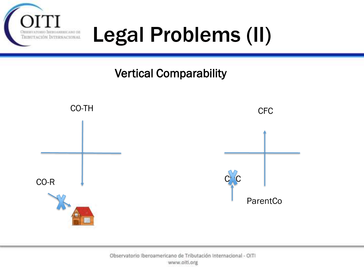

#### Legal Problems (II)

#### Vertical Comparability

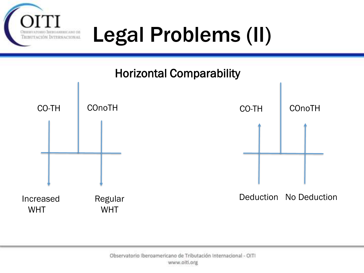

#### Legal Problems (II)

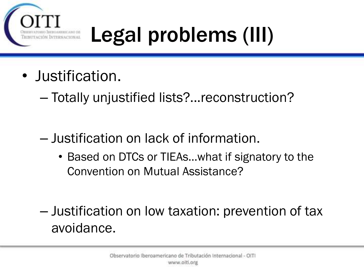

# Legal problems (III)

- Justification.
	- Totally unjustified lists?...reconstruction?
	- Justification on lack of information.
		- Based on DTCs or TIEAs...what if signatory to the Convention on Mutual Assistance?
	- Justification on low taxation: prevention of tax avoidance.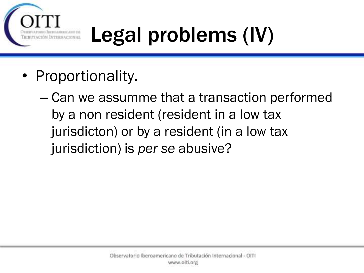

# Legal problems (IV)

- Proportionality.
	- Can we assumme that a transaction performed by a non resident (resident in a low tax jurisdicton) or by a resident (in a low tax jurisdiction) is *per se* abusive?